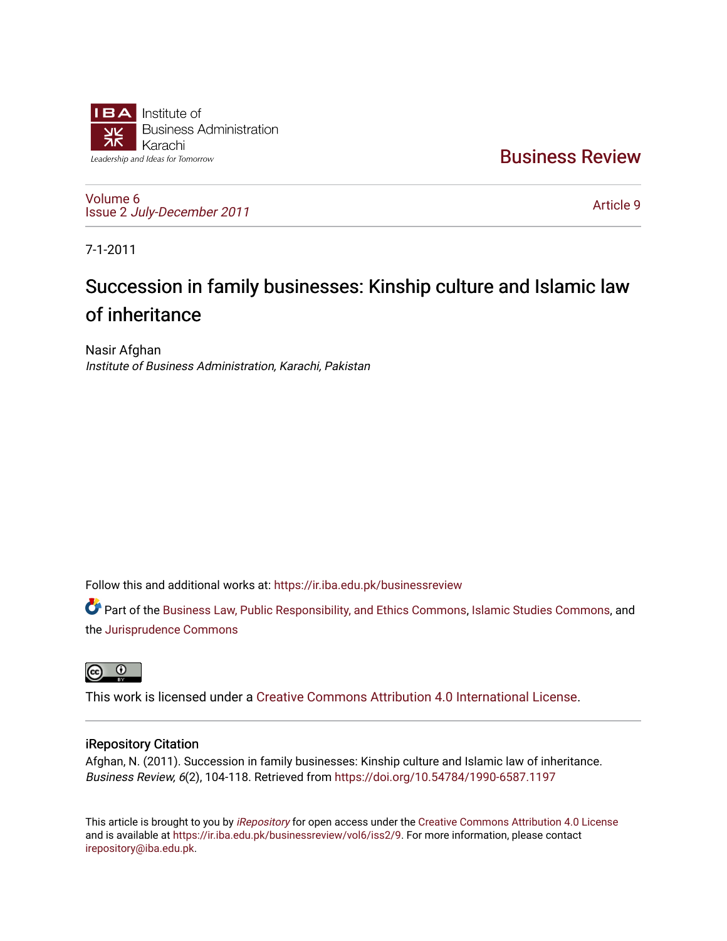

[Business Review](https://ir.iba.edu.pk/businessreview) 

[Volume 6](https://ir.iba.edu.pk/businessreview/vol6) Issue 2 [July-December 2011](https://ir.iba.edu.pk/businessreview/vol6/iss2)

[Article 9](https://ir.iba.edu.pk/businessreview/vol6/iss2/9) 

7-1-2011

# Succession in family businesses: Kinship culture and Islamic law of inheritance

Nasir Afghan Institute of Business Administration, Karachi, Pakistan

Follow this and additional works at: [https://ir.iba.edu.pk/businessreview](https://ir.iba.edu.pk/businessreview?utm_source=ir.iba.edu.pk%2Fbusinessreview%2Fvol6%2Fiss2%2F9&utm_medium=PDF&utm_campaign=PDFCoverPages) 

Part of the [Business Law, Public Responsibility, and Ethics Commons](http://network.bepress.com/hgg/discipline/628?utm_source=ir.iba.edu.pk%2Fbusinessreview%2Fvol6%2Fiss2%2F9&utm_medium=PDF&utm_campaign=PDFCoverPages), [Islamic Studies Commons](http://network.bepress.com/hgg/discipline/1346?utm_source=ir.iba.edu.pk%2Fbusinessreview%2Fvol6%2Fiss2%2F9&utm_medium=PDF&utm_campaign=PDFCoverPages), and the [Jurisprudence Commons](http://network.bepress.com/hgg/discipline/610?utm_source=ir.iba.edu.pk%2Fbusinessreview%2Fvol6%2Fiss2%2F9&utm_medium=PDF&utm_campaign=PDFCoverPages) 



This work is licensed under a [Creative Commons Attribution 4.0 International License](https://creativecommons.org/licenses/by/4.0/).

## iRepository Citation

Afghan, N. (2011). Succession in family businesses: Kinship culture and Islamic law of inheritance. Business Review, 6(2), 104-118. Retrieved from<https://doi.org/10.54784/1990-6587.1197>

This article is brought to you by [iRepository](https://ir.iba.edu.pk/) for open access under the Creative Commons Attribution 4.0 License and is available at [https://ir.iba.edu.pk/businessreview/vol6/iss2/9.](https://ir.iba.edu.pk/businessreview/vol6/iss2/9) For more information, please contact [irepository@iba.edu.pk.](mailto:irepository@iba.edu.pk)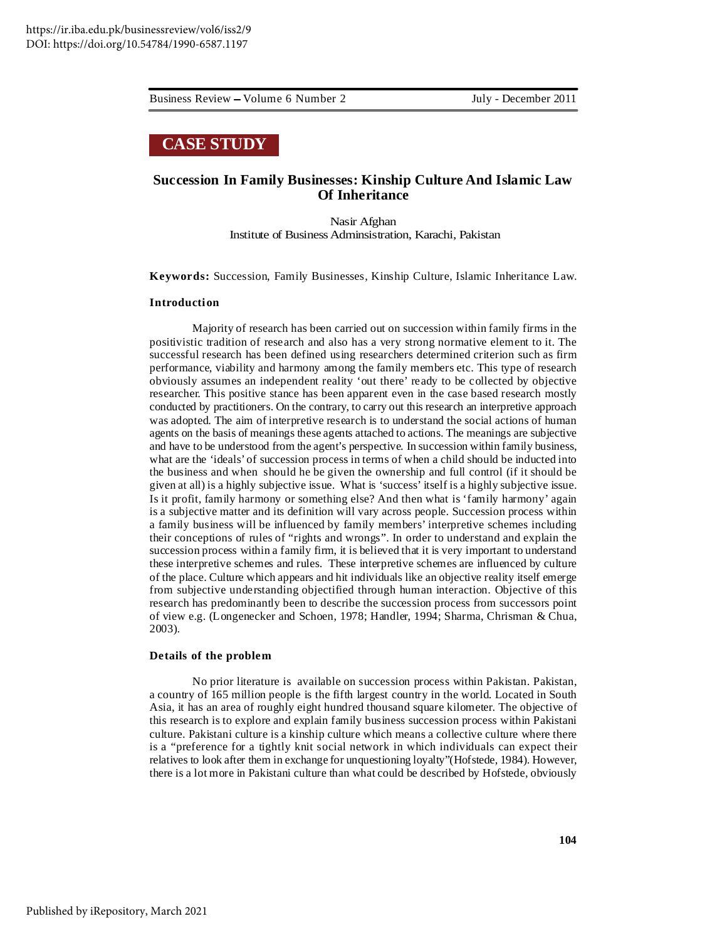# **CASE STUDY**

## **Succession In Family Businesses: Kinship Culture And Islamic Law Of Inheritance**

Nasir Afghan Institute of Business Adminsistration, Karachi, Pakistan

**Keywords:** Succession, Family Businesses, Kinship Culture, Islamic Inheritance Law.

#### **Introduction**

Majority of research has been carried out on succession within family firms in the positivistic tradition of research and also has a very strong normative element to it. The successful research has been defined using researchers determined criterion such as firm performance, viability and harmony among the family members etc. This type of research obviously assumes an independent reality 'out there' ready to be collected by objective researcher. This positive stance has been apparent even in the case based research mostly conducted by practitioners. On the contrary, to carry out this research an interpretive approach was adopted. The aim of interpretive research is to understand the social actions of human agents on the basis of meanings these agents attached to actions. The meanings are subjective and have to be understood from the agent's perspective. In succession within family business, what are the 'ideals' of succession process in terms of when a child should be inducted into the business and when should he be given the ownership and full control (if it should be given at all) is a highly subjective issue. What is 'success' itself is a highly subjective issue. Is it profit, family harmony or something else? And then what is 'family harmony' again is a subjective matter and its definition will vary across people. Succession process within a family business will be influenced by family members' interpretive schemes including their conceptions of rules of "rights and wrongs". In order to understand and explain the succession process within a family firm, it is believed that it is very important to understand these interpretive schemes and rules. These interpretive schemes are influenced by culture of the place. Culture which appears and hit individuals like an objective reality itself emerge from subjective understanding objectified through human interaction. Objective of this research has predominantly been to describe the succession process from successors point of view e.g. (Longenecker and Schoen, 1978; Handler, 1994; Sharma, Chrisman & Chua, 2003).

#### **Details of the problem**

No prior literature is available on succession process within Pakistan. Pakistan, a country of 165 million people is the fifth largest country in the world. Located in South Asia, it has an area of roughly eight hundred thousand square kilometer. The objective of this research is to explore and explain family business succession process within Pakistani culture. Pakistani culture is a kinship culture which means a collective culture where there is a "preference for a tightly knit social network in which individuals can expect their relatives to look after them in exchange for unquestioning loyalty"(Hofstede, 1984). However, there is a lot more in Pakistani culture than what could be described by Hofstede, obviously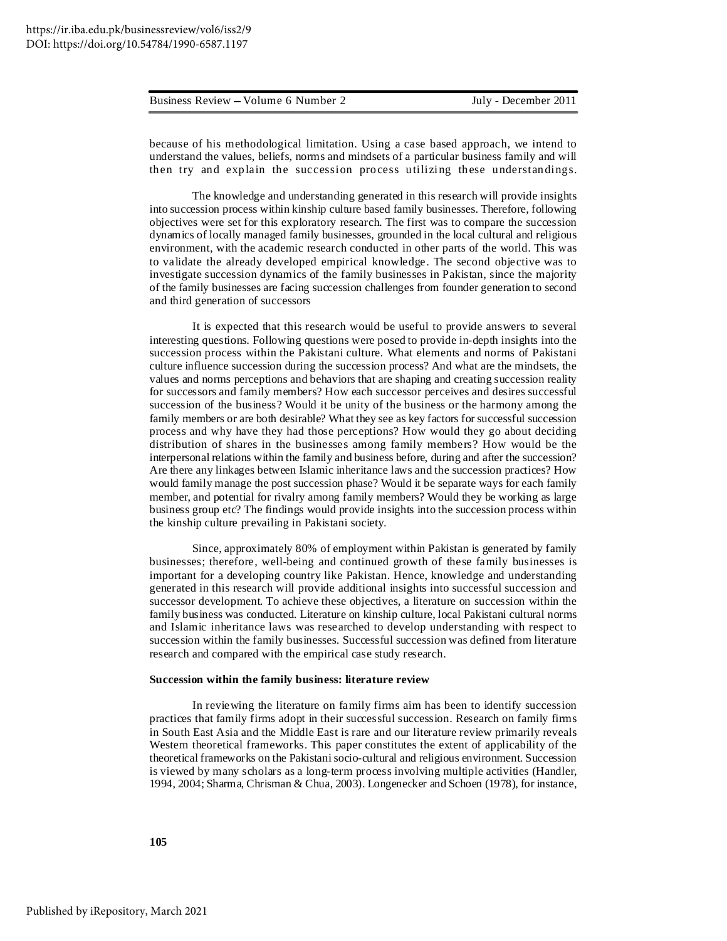because of his methodological limitation. Using a case based approach, we intend to understand the values, beliefs, norms and mindsets of a particular business family and will then try and explain the succession process utilizing these understandings.

The knowledge and understanding generated in this research will provide insights into succession process within kinship culture based family businesses. Therefore, following objectives were set for this exploratory research. The first was to compare the succession dynamics of locally managed family businesses, grounded in the local cultural and religious environment, with the academic research conducted in other parts of the world. This was to validate the already developed empirical knowledge. The second objective was to investigate succession dynamics of the family businesses in Pakistan, since the majority of the family businesses are facing succession challenges from founder generation to second and third generation of successors

It is expected that this research would be useful to provide answers to several interesting questions. Following questions were posed to provide in-depth insights into the succession process within the Pakistani culture. What elements and norms of Pakistani culture influence succession during the succession process? And what are the mindsets, the values and norms perceptions and behaviors that are shaping and creating succession reality for successors and family members? How each successor perceives and desires successful succession of the business? Would it be unity of the business or the harmony among the family members or are both desirable? What they see as key factors for successful succession process and why have they had those perceptions? How would they go about deciding distribution of shares in the businesses among family members? How would be the interpersonal relations within the family and business before, during and after the succession? Are there any linkages between Islamic inheritance laws and the succession practices? How would family manage the post succession phase? Would it be separate ways for each family member, and potential for rivalry among family members? Would they be working as large business group etc? The findings would provide insights into the succession process within the kinship culture prevailing in Pakistani society.

Since, approximately 80% of employment within Pakistan is generated by family businesses; therefore, well-being and continued growth of these family businesses is important for a developing country like Pakistan. Hence, knowledge and understanding generated in this research will provide additional insights into successful succession and successor development. To achieve these objectives, a literature on succession within the family business was conducted. Literature on kinship culture, local Pakistani cultural norms and Islamic inheritance laws was researched to develop understanding with respect to succession within the family businesses. Successful succession was defined from literature research and compared with the empirical case study research.

#### **Succession within the family business: literature review**

In reviewing the literature on family firms aim has been to identify succession practices that family firms adopt in their successful succession. Research on family firms in South East Asia and the Middle East is rare and our literature review primarily reveals Western theoretical frameworks. This paper constitutes the extent of applicability of the theoretical frameworks on the Pakistanisocio-cultural and religious environment. Succession is viewed by many scholars as a long-term process involving multiple activities (Handler, 1994, 2004; Sharma, Chrisman & Chua, 2003). Longenecker and Schoen (1978), for instance,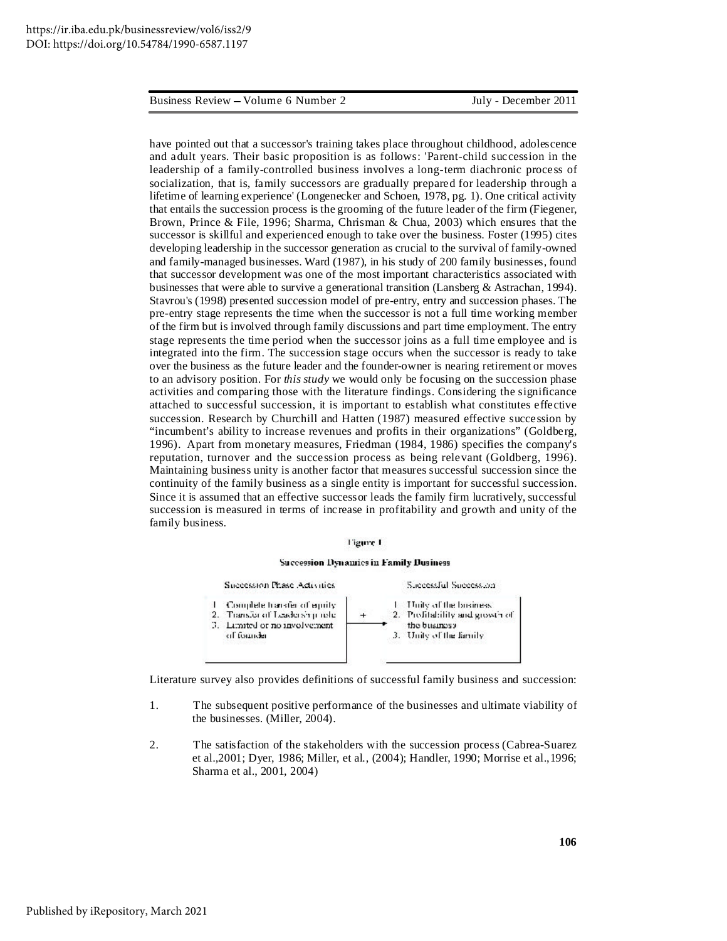have pointed out that a successor's training takes place throughout childhood, adolescence and adult years. Their basic proposition is as follows: 'Parent-child succession in the leadership of a family-controlled business involves a long-term diachronic process of socialization, that is, family successors are gradually prepared for leadership through a lifetime of learning experience' (Longenecker and Schoen, 1978, pg. 1). One critical activity that entails the succession process is the grooming of the future leader of the firm (Fiegener, Brown, Prince & File, 1996; Sharma, Chrisman & Chua, 2003) which ensures that the successor is skillful and experienced enough to take over the business. Foster (1995) cites developing leadership in the successor generation as crucial to the survival of family-owned and family-managed businesses. Ward (1987), in his study of 200 family businesses, found that successor development was one of the most important characteristics associated with businesses that were able to survive a generational transition (Lansberg & Astrachan, 1994). Stavrou's (1998) presented succession model of pre-entry, entry and succession phases. The pre-entry stage represents the time when the successor is not a full time working member of the firm but is involved through family discussions and part time employment. The entry stage represents the time period when the successor joins as a full time employee and is integrated into the firm. The succession stage occurs when the successor is ready to take over the business as the future leader and the founder-owner is nearing retirement or moves to an advisory position. For *this study* we would only be focusing on the succession phase activities and comparing those with the literature findings. Considering the significance attached to successful succession, it is important to establish what constitutes effective succession. Research by Churchill and Hatten (1987) measured effective succession by "incumbent's ability to increase revenues and profits in their organizations" (Goldberg, 1996). Apart from monetary measures, Friedman (1984, 1986) specifies the company's reputation, turnover and the succession process as being relevant (Goldberg, 1996). Maintaining business unity is another factor that measures successful succession since the continuity of the family business as a single entity is important for successful succession. Since it is assumed that an effective successor leads the family firm lucratively, successful succession is measured in terms of increase in profitability and growth and unity of the family business.

#### **Figure 1**

#### Succession Dynamics in Family Dusiness



Literature survey also provides definitions of successful family business and succession:

- 1. The subsequent positive performance of the businesses and ultimate viability of the businesses. (Miller, 2004).
- 2. The satisfaction of the stakeholders with the succession process (Cabrea-Suarez et al.,2001; Dyer, 1986; Miller, et al., (2004); Handler, 1990; Morrise et al.,1996; Sharma et al., 2001, 2004)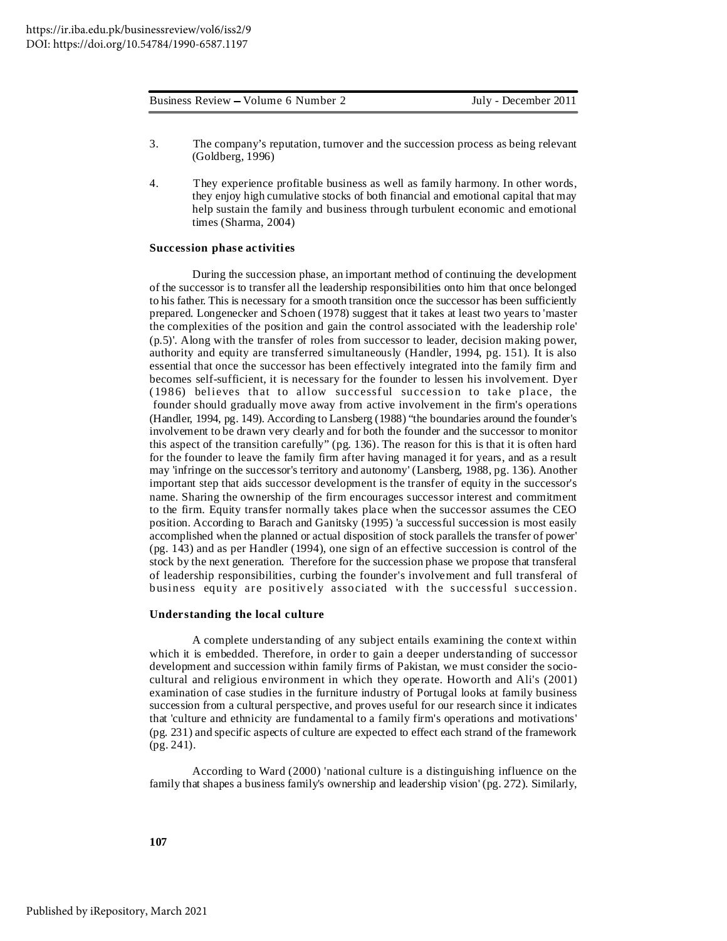|  | Business Review – Volume 6 Number 2 |
|--|-------------------------------------|
|--|-------------------------------------|

- 3. The company's reputation, turnover and the succession process as being relevant (Goldberg, 1996)
- 4. They experience profitable business as well as family harmony. In other words, they enjoy high cumulative stocks of both financial and emotional capital that may help sustain the family and business through turbulent economic and emotional times (Sharma, 2004)

#### **Succession phase activities**

During the succession phase, an important method of continuing the development of the successor is to transfer all the leadership responsibilities onto him that once belonged to his father. This is necessary for a smooth transition once the successor has been sufficiently prepared. Longenecker and Schoen (1978) suggest that it takes at least two years to 'master the complexities of the position and gain the control associated with the leadership role' (p.5)'. Along with the transfer of roles from successor to leader, decision making power, authority and equity are transferred simultaneously (Handler, 1994, pg. 151). It is also essential that once the successor has been effectively integrated into the family firm and becomes self-sufficient, it is necessary for the founder to lessen his involvement. Dyer  $(1986)$  believes that to allow successful succession to take place, the founder should gradually move away from active involvement in the firm's operations (Handler, 1994, pg. 149). According to Lansberg (1988) "the boundaries around the founder's involvement to be drawn very clearly and for both the founder and the successor to monitor this aspect of the transition carefully" (pg. 136). The reason for this is that it is often hard for the founder to leave the family firm after having managed it for years, and as a result may 'infringe on the successor's territory and autonomy' (Lansberg, 1988, pg. 136). Another important step that aids successor development is the transfer of equity in the successor's name. Sharing the ownership of the firm encourages successor interest and commitment to the firm. Equity transfer normally takes place when the successor assumes the CEO position. According to Barach and Ganitsky (1995) 'a successful succession is most easily accomplished when the planned or actual disposition of stock parallels the transfer of power' (pg. 143) and as per Handler (1994), one sign of an effective succession is control of the stock by the next generation. Therefore for the succession phase we propose that transferal of leadership responsibilities, curbing the founder's involvement and full transferal of business equity are positively associated with the successful succession.

#### **Understanding the local culture**

A complete understanding of any subject entails examining the context within which it is embedded. Therefore, in order to gain a deeper understanding of successor development and succession within family firms of Pakistan, we must consider the sociocultural and religious environment in which they operate. Howorth and Ali's (2001) examination of case studies in the furniture industry of Portugal looks at family business succession from a cultural perspective, and proves useful for our research since it indicates that 'culture and ethnicity are fundamental to a family firm's operations and motivations' (pg. 231) and specific aspects of culture are expected to effect each strand of the framework (pg. 241).

According to Ward (2000) 'national culture is a distinguishing influence on the family that shapes a business family's ownership and leadership vision' (pg. 272). Similarly,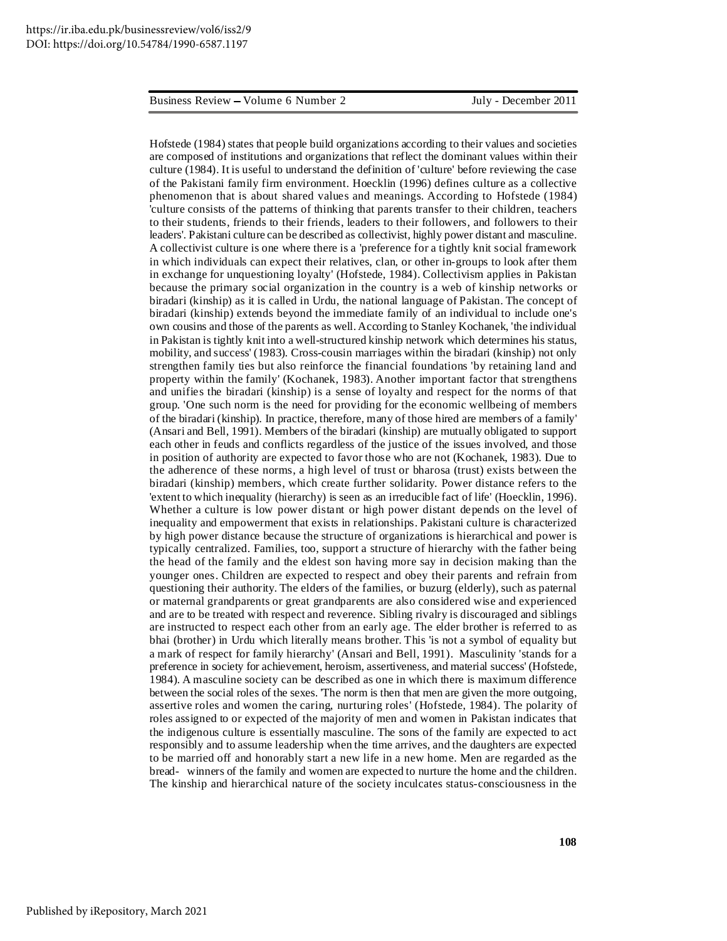Hofstede (1984) states that people build organizations according to their values and societies are composed of institutions and organizations that reflect the dominant values within their culture (1984). It is useful to understand the definition of 'culture' before reviewing the case of the Pakistani family firm environment. Hoecklin (1996) defines culture as a collective phenomenon that is about shared values and meanings. According to Hofstede (1984) 'culture consists of the patterns of thinking that parents transfer to their children, teachers to their students, friends to their friends, leaders to their followers, and followers to their leaders'. Pakistani culture can be described as collectivist, highly power distant and masculine. A collectivist culture is one where there is a 'preference for a tightly knit social framework in which individuals can expect their relatives, clan, or other in-groups to look after them in exchange for unquestioning loyalty' (Hofstede, 1984). Collectivism applies in Pakistan because the primary social organization in the country is a web of kinship networks or biradari (kinship) as it is called in Urdu, the national language of Pakistan. The concept of biradari (kinship) extends beyond the immediate family of an individual to include one's own cousins and those of the parents as well.According to Stanley Kochanek, 'the individual in Pakistan is tightly knit into a well-structured kinship network which determines his status, mobility, and success' (1983). Cross-cousin marriages within the biradari (kinship) not only strengthen family ties but also reinforce the financial foundations 'by retaining land and property within the family' (Kochanek, 1983). Another important factor that strengthens and unifies the biradari (kinship) is a sense of loyalty and respect for the norms of that group. 'One such norm is the need for providing for the economic wellbeing of members of the biradari (kinship). In practice, therefore, many of those hired are members of a family' (Ansari and Bell, 1991). Members of the biradari (kinship) are mutually obligated to support each other in feuds and conflicts regardless of the justice of the issues involved, and those in position of authority are expected to favor those who are not (Kochanek, 1983). Due to the adherence of these norms, a high level of trust or bharosa (trust) exists between the biradari (kinship) members, which create further solidarity. Power distance refers to the 'extent to which inequality (hierarchy) is seen as an irreducible fact of life' (Hoecklin, 1996). Whether a culture is low power distant or high power distant depends on the level of inequality and empowerment that exists in relationships. Pakistani culture is characterized by high power distance because the structure of organizations is hierarchical and power is typically centralized. Families, too, support a structure of hierarchy with the father being the head of the family and the eldest son having more say in decision making than the younger ones. Children are expected to respect and obey their parents and refrain from questioning their authority. The elders of the families, or buzurg (elderly), such as paternal or maternal grandparents or great grandparents are also considered wise and experienced and are to be treated with respect and reverence. Sibling rivalry is discouraged and siblings are instructed to respect each other from an early age. The elder brother is referred to as bhai (brother) in Urdu which literally means brother. This 'is not a symbol of equality but a mark of respect for family hierarchy' (Ansari and Bell, 1991). Masculinity 'stands for a preference in society for achievement, heroism, assertiveness, and material success' (Hofstede, 1984). A masculine society can be described as one in which there is maximum difference between the social roles of the sexes. 'The norm is then that men are given the more outgoing, assertive roles and women the caring, nurturing roles' (Hofstede, 1984). The polarity of roles assigned to or expected of the majority of men and women in Pakistan indicates that the indigenous culture is essentially masculine. The sons of the family are expected to act responsibly and to assume leadership when the time arrives, and the daughters are expected to be married off and honorably start a new life in a new home. Men are regarded as the bread- winners of the family and women are expected to nurture the home and the children. The kinship and hierarchical nature of the society inculcates status-consciousness in the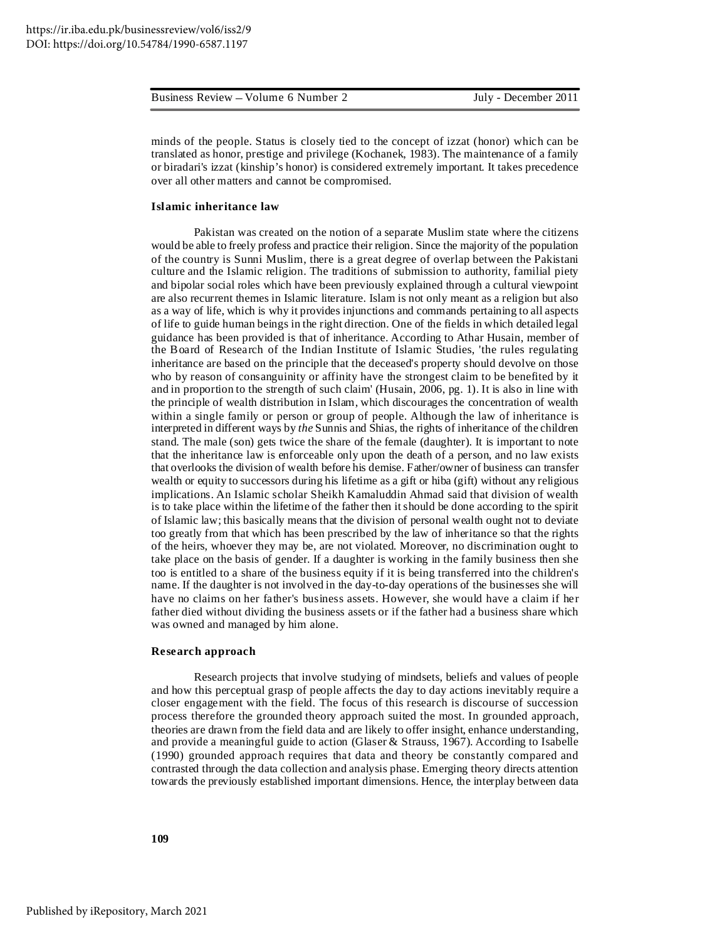|  | Business Review – Volume 6 Number 2 | July - December 2011 |
|--|-------------------------------------|----------------------|
|--|-------------------------------------|----------------------|

minds of the people. Status is closely tied to the concept of izzat (honor) which can be translated as honor, prestige and privilege (Kochanek, 1983). The maintenance of a family or biradari's izzat (kinship's honor) is considered extremely important. It takes precedence over all other matters and cannot be compromised*.*

#### **Islamic inheritance law**

Pakistan was created on the notion of a separate Muslim state where the citizens would be able to freely profess and practice their religion. Since the majority of the population of the country is Sunni Muslim, there is a great degree of overlap between the Pakistani culture and the Islamic religion. The traditions of submission to authority, familial piety and bipolar social roles which have been previously explained through a cultural viewpoint are also recurrent themes in Islamic literature. Islam is not only meant as a religion but also as a way of life, which is why it provides injunctions and commands pertaining to all aspects of life to guide human beings in the right direction. One of the fields in which detailed legal guidance has been provided is that of inheritance. According to Athar Husain, member of the Board of Research of the Indian Institute of Islamic Studies, 'the rules regulating inheritance are based on the principle that the deceased's property should devolve on those who by reason of consanguinity or affinity have the strongest claim to be benefited by it and in proportion to the strength of such claim' (Husain, 2006, pg. 1). It is also in line with the principle of wealth distribution in Islam, which discourages the concentration of wealth within a single family or person or group of people. Although the law of inheritance is interpreted in different ways by *the* Sunnis and Shias, the rights of inheritance of the children stand. The male (son) gets twice the share of the female (daughter). It is important to note that the inheritance law is enforceable only upon the death of a person, and no law exists that overlooks the division of wealth before his demise. Father/owner of business can transfer wealth or equity to successors during his lifetime as a gift or hiba (gift) without any religious implications. An Islamic scholar Sheikh Kamaluddin Ahmad said that division of wealth is to take place within the lifetime of the father then itshould be done according to the spirit of Islamic law; this basically means that the division of personal wealth ought not to deviate too greatly from that which has been prescribed by the law of inheritance so that the rights of the heirs, whoever they may be, are not violated. Moreover, no discrimination ought to take place on the basis of gender. If a daughter is working in the family business then she too is entitled to a share of the business equity if it is being transferred into the children's name. If the daughter is not involved in the day-to-day operations of the businesses she will have no claims on her father's business assets. However, she would have a claim if her father died without dividing the business assets or if the father had a business share which was owned and managed by him alone.

#### **Research approach**

Research projects that involve studying of mindsets, beliefs and values of people and how this perceptual grasp of people affects the day to day actions inevitably require a closer engagement with the field. The focus of this research is discourse of succession process therefore the grounded theory approach suited the most. In grounded approach, theories are drawn from the field data and are likely to offer insight, enhance understanding, and provide a meaningful guide to action (Glaser & Strauss, 1967). According to Isabelle (1990) grounded approach requires that data and theory be constantly compared and contrasted through the data collection and analysis phase. Emerging theory directs attention towards the previously established important dimensions. Hence, the interplay between data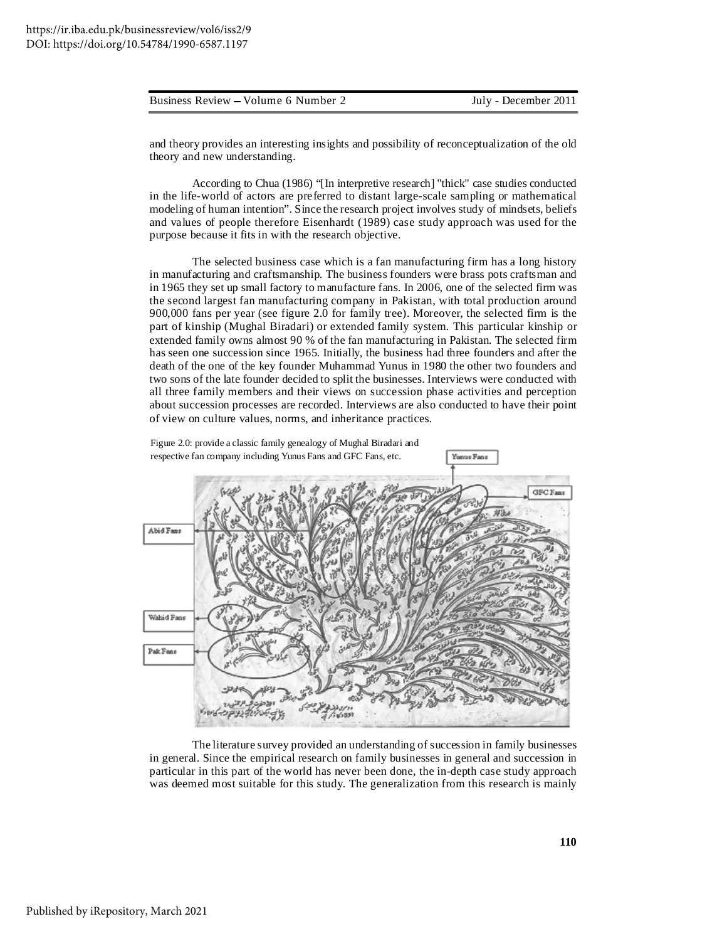and theory provides an interesting insights and possibility of reconceptualization of the old theory and new understanding.

According to Chua (1986) "[In interpretive research] "thick" case studies conducted in the life-world of actors are preferred to distant large-scale sampling or mathematical modeling of human intention". Since the research project involves study of mindsets, beliefs and values of people therefore Eisenhardt (1989) case study approach was used for the purpose because it fits in with the research objective.

The selected business case which is a fan manufacturing firm has a long history in manufacturing and craftsmanship. The business founders were brass pots craftsman and in 1965 they set up small factory to manufacture fans. In 2006, one of the selected firm was the second largest fan manufacturing company in Pakistan, with total production around 900,000 fans per year (see figure 2.0 for family tree). Moreover, the selected firm is the part of kinship (Mughal Biradari) or extended family system. This particular kinship or extended family owns almost 90 % of the fan manufacturing in Pakistan. The selected firm has seen one succession since 1965. Initially, the business had three founders and after the death of the one of the key founder Muhammad Yunus in 1980 the other two founders and two sons of the late founder decided to split the businesses. Interviews were conducted with all three family members and their views on succession phase activities and perception about succession processes are recorded. Interviews are also conducted to have their point of view on culture values, norms, and inheritance practices.



The literature survey provided an understanding of succession in family businesses in general. Since the empirical research on family businesses in general and succession in particular in this part of the world has never been done, the in-depth case study approach was deemed most suitable for this study. The generalization from this research is mainly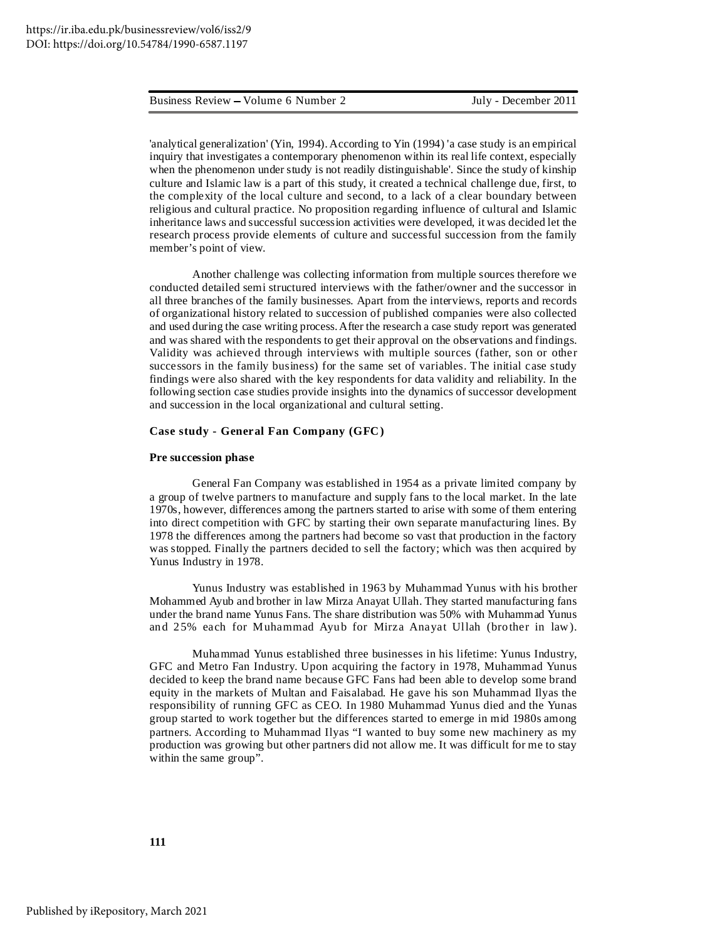'analytical generalization' (Yin, 1994).According to Yin (1994) 'a case study is an empirical inquiry that investigates a contemporary phenomenon within its real life context, especially when the phenomenon under study is not readily distinguishable'. Since the study of kinship culture and Islamic law is a part of this study, it created a technical challenge due, first, to the complexity of the local culture and second, to a lack of a clear boundary between religious and cultural practice. No proposition regarding influence of cultural and Islamic inheritance laws and successful succession activities were developed, it was decided let the research process provide elements of culture and successful succession from the family member's point of view.

Another challenge was collecting information from multiple sources therefore we conducted detailed semi structured interviews with the father/owner and the successor in all three branches of the family businesses*.* Apart from the interviews, reports and records of organizational history related to succession of published companies were also collected and used during the case writing process.After the research a case study report was generated and was shared with the respondents to get their approval on the observations and findings. Validity was achieved through interviews with multiple sources (father, son or other successors in the family business) for the same set of variables. The initial case study findings were also shared with the key respondents for data validity and reliability. In the following section case studies provide insights into the dynamics of successor development and succession in the local organizational and cultural setting.

#### **Case study - General Fan Company (GFC)**

#### **Pre succession phase**

General Fan Company was established in 1954 as a private limited company by a group of twelve partners to manufacture and supply fans to the local market. In the late 1970s, however, differences among the partners started to arise with some of them entering into direct competition with GFC by starting their own separate manufacturing lines. By 1978 the differences among the partners had become so vast that production in the factory was stopped. Finally the partners decided to sell the factory; which was then acquired by Yunus Industry in 1978.

Yunus Industry was established in 1963 by Muhammad Yunus with his brother Mohammed Ayub and brother in law Mirza Anayat Ullah. They started manufacturing fans under the brand name Yunus Fans. The share distribution was 50% with Muhammad Yunus and 25% each for Muhammad Ayub for Mirza Anayat Ullah (brother in law).

Muhammad Yunus established three businesses in his lifetime: Yunus Industry, GFC and Metro Fan Industry. Upon acquiring the factory in 1978, Muhammad Yunus decided to keep the brand name because GFC Fans had been able to develop some brand equity in the markets of Multan and Faisalabad. He gave his son Muhammad Ilyas the responsibility of running GFC as CEO. In 1980 Muhammad Yunus died and the Yunas group started to work together but the differences started to emerge in mid 1980s among partners. According to Muhammad Ilyas "I wanted to buy some new machinery as my production was growing but other partners did not allow me. It was difficult for me to stay within the same group".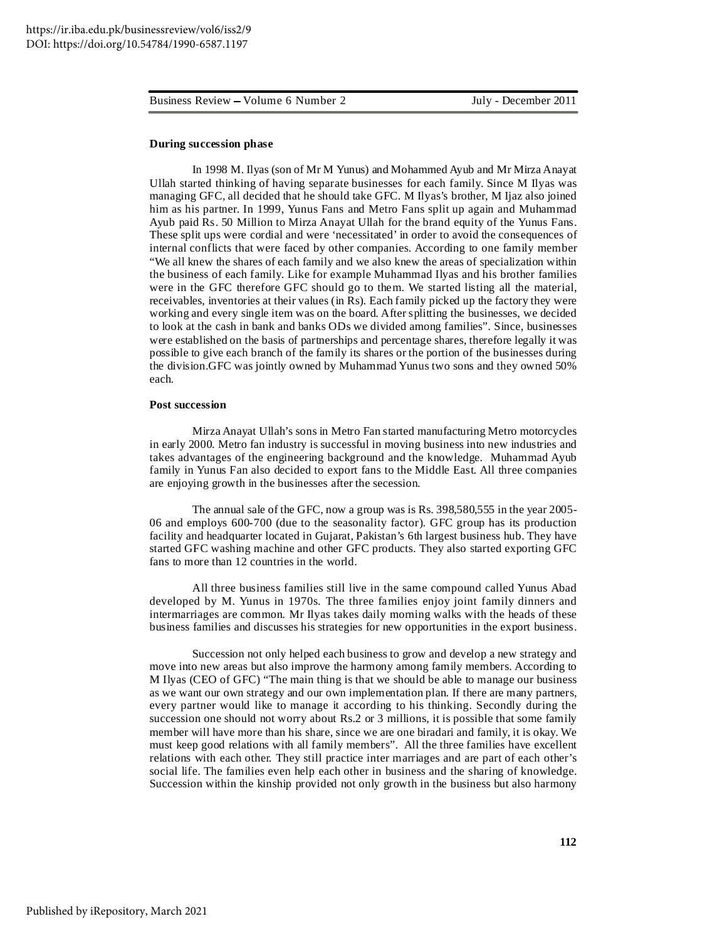#### **During succession phase**

In 1998 M. Ilyas (son of Mr M Yunus) and Mohammed Ayub and Mr Mirza Anayat Ullah started thinking of having separate businesses for each family. Since M Ilyas was managing GFC, all decided that he should take GFC. M Ilyas's brother, M Ijaz also joined him as his partner. In 1999, Yunus Fans and Metro Fans split up again and Muhammad Ayub paid Rs. 50 Million to Mirza Anayat Ullah for the brand equity of the Yunus Fans. These split ups were cordial and were 'necessitated' in order to avoid the consequences of internal conflicts that were faced by other companies. According to one family member "We all knew the shares of each family and we also knew the areas of specialization within the business of each family. Like for example Muhammad Ilyas and his brother families were in the GFC therefore GFC should go to them. We started listing all the material, receivables, inventories at their values (in Rs). Each family picked up the factory they were working and every single item was on the board. After splitting the businesses, we decided to look at the cash in bank and banks ODs we divided among families". Since, businesses were established on the basis of partnerships and percentage shares, therefore legally it was possible to give each branch of the family its shares or the portion of the businesses during the division.GFC was jointly owned by Muhammad Yunus two sons and they owned 50% each.

#### **Post succession**

Mirza Anayat Ullah's sons in Metro Fan started manufacturing Metro motorcycles in early 2000. Metro fan industry is successful in moving business into new industries and takes advantages of the engineering background and the knowledge. Muhammad Ayub family in Yunus Fan also decided to export fans to the Middle East. All three companies are enjoying growth in the businesses after the secession.

The annual sale of the GFC, now a group was is Rs. 398,580,555 in the year 2005- 06 and employs 600-700 (due to the seasonality factor). GFC group has its production facility and headquarter located in Gujarat, Pakistan's 6th largest business hub. They have started GFC washing machine and other GFC products. They also started exporting GFC fans to more than 12 countries in the world.

All three business families still live in the same compound called Yunus Abad developed by M. Yunus in 1970s. The three families enjoy joint family dinners and intermarriages are common. Mr Ilyas takes daily morning walks with the heads of these business families and discusses his strategies for new opportunities in the export business.

Succession not only helped each business to grow and develop a new strategy and move into new areas but also improve the harmony among family members. According to M Ilyas (CEO of GFC) "The main thing is that we should be able to manage our business as we want our own strategy and our own implementation plan. If there are many partners, every partner would like to manage it according to his thinking. Secondly during the succession one should not worry about Rs.2 or 3 millions, it is possible that some family member will have more than his share, since we are one biradari and family, it is okay. We must keep good relations with all family members". All the three families have excellent relations with each other. They still practice inter marriages and are part of each other's social life. The families even help each other in business and the sharing of knowledge. Succession within the kinship provided not only growth in the business but also harmony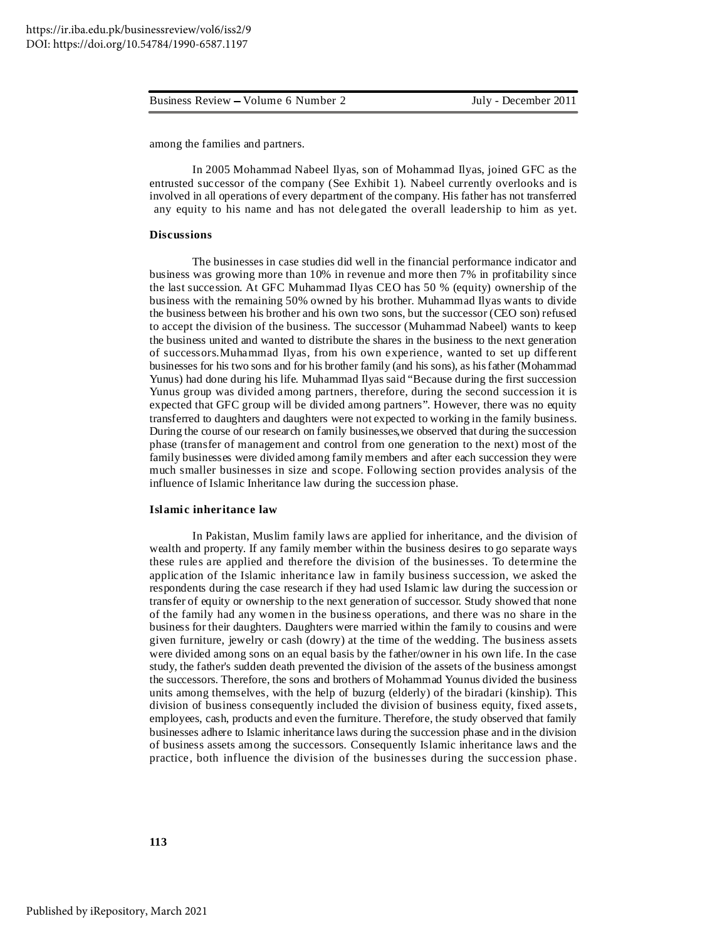among the families and partners.

In 2005 Mohammad Nabeel Ilyas, son of Mohammad Ilyas, joined GFC as the entrusted successor of the company (See Exhibit 1). Nabeel currently overlooks and is involved in all operations of every department of the company. His father has not transferred any equity to his name and has not delegated the overall leadership to him as yet.

#### **Discussions**

The businesses in case studies did well in the financial performance indicator and business was growing more than 10% in revenue and more then 7% in profitability since the last succession. At GFC Muhammad Ilyas CEO has 50 % (equity) ownership of the business with the remaining 50% owned by his brother. Muhammad Ilyas wants to divide the business between his brother and his own two sons, but the successor (CEO son) refused to accept the division of the business. The successor (Muhammad Nabeel) wants to keep the business united and wanted to distribute the shares in the business to the next generation of successors.Muhammad Ilyas, from his own experience, wanted to set up different businesses for his two sons and for his brother family (and his sons), as hisfather (Mohammad Yunus) had done during his life. Muhammad Ilyas said "Because during the first succession Yunus group was divided among partners, therefore, during the second succession it is expected that GFC group will be divided among partners". However, there was no equity transferred to daughters and daughters were not expected to working in the family business. During the course of our research on family businesses,we observed that during the succession phase (transfer of management and control from one generation to the next) most of the family businesses were divided among family members and after each succession they were much smaller businesses in size and scope. Following section provides analysis of the influence of Islamic Inheritance law during the succession phase*.*

#### **Islamic inheritance law**

In Pakistan, Muslim family laws are applied for inheritance, and the division of wealth and property. If any family member within the business desires to go separate ways these rules are applied and therefore the division of the businesses. To determine the application of the Islamic inheritance law in family business succession, we asked the respondents during the case research if they had used Islamic law during the succession or transfer of equity or ownership to the next generation of successor. Study showed that none of the family had any women in the business operations, and there was no share in the business for their daughters. Daughters were married within the family to cousins and were given furniture, jewelry or cash (dowry) at the time of the wedding. The business assets were divided among sons on an equal basis by the father/owner in his own life. In the case study, the father's sudden death prevented the division of the assets of the business amongst the successors. Therefore, the sons and brothers of Mohammad Younus divided the business units among themselves, with the help of buzurg (elderly) of the biradari (kinship). This division of business consequently included the division of business equity, fixed assets, employees, cash, products and even the furniture. Therefore, the study observed that family businesses adhere to Islamic inheritance laws during the succession phase and in the division of business assets among the successors. Consequently Islamic inheritance laws and the practice, both influence the division of the businesses during the succession phase.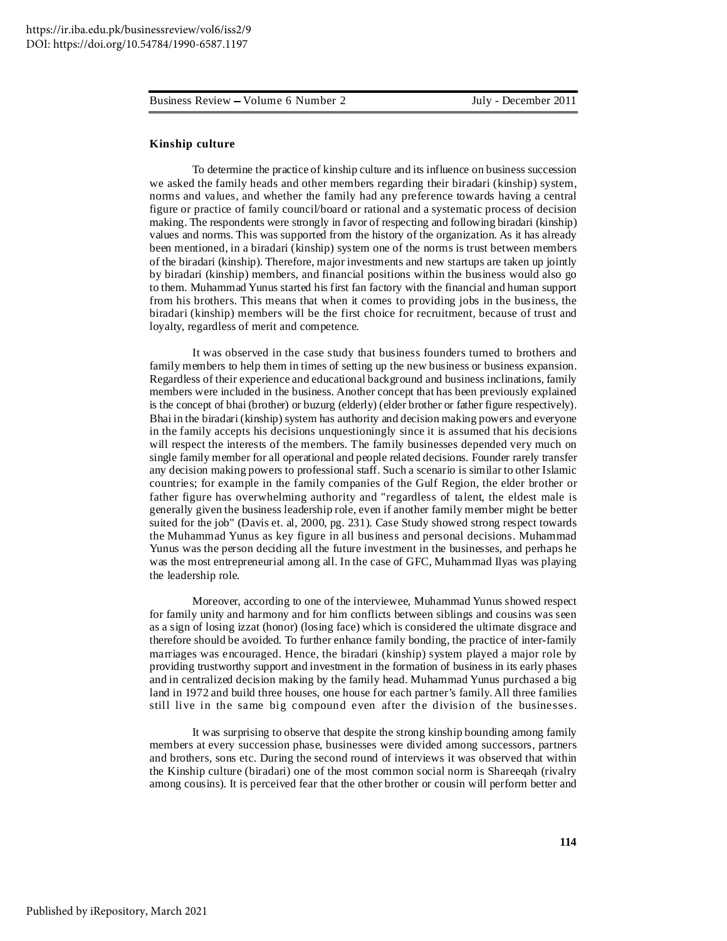#### **Kinship culture**

To determine the practice of kinship culture and its influence on business succession we asked the family heads and other members regarding their biradari (kinship) system, norms and values, and whether the family had any preference towards having a central figure or practice of family council/board or rational and a systematic process of decision making. The respondents were strongly in favor of respecting and following biradari (kinship) values and norms. This was supported from the history of the organization. As it has already been mentioned, in a biradari (kinship) system one of the norms is trust between members of the biradari (kinship). Therefore, major investments and new startups are taken up jointly by biradari (kinship) members, and financial positions within the business would also go to them. Muhammad Yunus started his first fan factory with the financial and human support from his brothers. This means that when it comes to providing jobs in the business, the biradari (kinship) members will be the first choice for recruitment, because of trust and loyalty, regardless of merit and competence.

It was observed in the case study that business founders turned to brothers and family members to help them in times of setting up the new business or business expansion. Regardless of their experience and educational background and business inclinations, family members were included in the business. Another concept that has been previously explained is the concept of bhai (brother) or buzurg (elderly) (elder brother or father figure respectively). Bhai in the biradari (kinship) system has authority and decision making powers and everyone in the family accepts his decisions unquestioningly since it is assumed that his decisions will respect the interests of the members. The family businesses depended very much on single family member for all operational and people related decisions. Founder rarely transfer any decision making powers to professional staff. Such a scenario is similar to other Islamic countries; for example in the family companies of the Gulf Region, the elder brother or father figure has overwhelming authority and "regardless of talent, the eldest male is generally given the business leadership role, even if another family member might be better suited for the job" (Davis et. al, 2000, pg. 231). Case Study showed strong respect towards the Muhammad Yunus as key figure in all business and personal decisions. Muhammad Yunus was the person deciding all the future investment in the businesses, and perhaps he was the most entrepreneurial among all. In the case of GFC, Muhammad Ilyas was playing the leadership role.

Moreover, according to one of the interviewee, Muhammad Yunus showed respect for family unity and harmony and for him conflicts between siblings and cousins was seen as a sign of losing izzat (honor) (losing face) which is considered the ultimate disgrace and therefore should be avoided. To further enhance family bonding, the practice of inter-family marriages was encouraged. Hence, the biradari (kinship) system played a major role by providing trustworthy support and investment in the formation of business in its early phases and in centralized decision making by the family head. Muhammad Yunus purchased a big land in 1972 and build three houses, one house for each partner's family.All three families still live in the same big compound even after the division of the businesses.

It was surprising to observe that despite the strong kinship bounding among family members at every succession phase, businesses were divided among successors, partners and brothers, sons etc. During the second round of interviews it was observed that within the Kinship culture (biradari) one of the most common social norm is Shareeqah (rivalry among cousins). It is perceived fear that the other brother or cousin will perform better and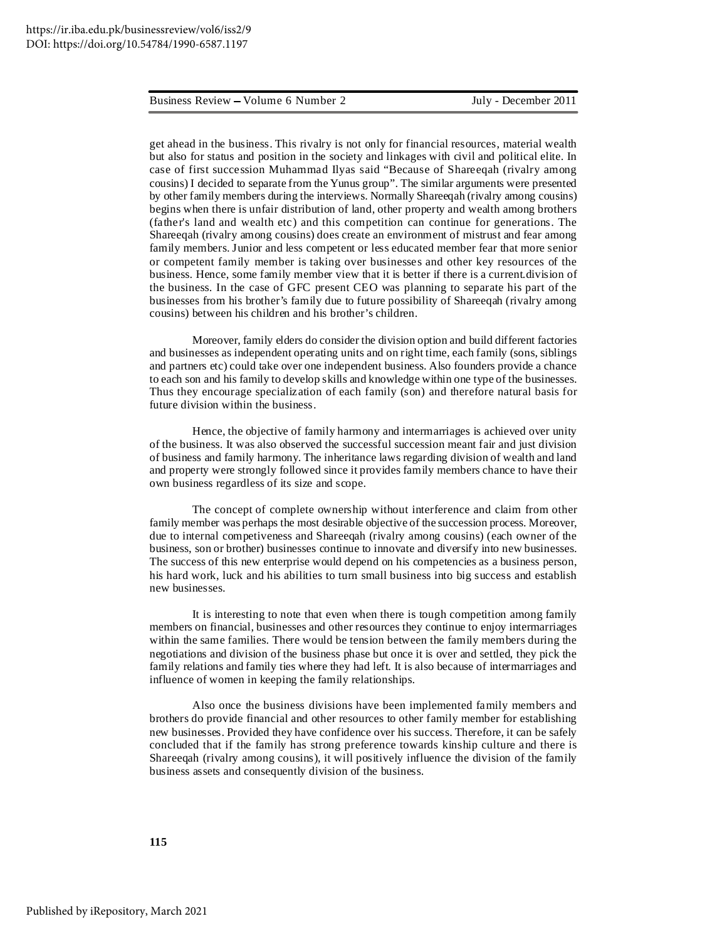get ahead in the business. This rivalry is not only for financial resources, material wealth but also for status and position in the society and linkages with civil and political elite. In case of first succession Muhammad Ilyas said "Because of Shareeqah (rivalry among cousins) I decided to separate from the Yunus group". The similar arguments were presented by other family members during the interviews. Normally Shareeqah (rivalry among cousins) begins when there is unfair distribution of land, other property and wealth among brothers (father's land and wealth etc) and this competition can continue for generations. The Shareeqah (rivalry among cousins) does create an environment of mistrust and fear among family members. Junior and less competent or less educated member fear that more senior or competent family member is taking over businesses and other key resources of the business. Hence, some family member view that it is better if there is a current.division of the business. In the case of GFC present CEO was planning to separate his part of the businesses from his brother's family due to future possibility of Shareeqah (rivalry among cousins) between his children and his brother's children.

Moreover, family elders do consider the division option and build different factories and businesses as independent operating units and on right time, each family (sons, siblings and partners etc) could take over one independent business. Also founders provide a chance to each son and his family to develop skills and knowledge within one type of the businesses. Thus they encourage specialization of each family (son) and therefore natural basis for future division within the business.

Hence, the objective of family harmony and intermarriages is achieved over unity of the business. It was also observed the successful succession meant fair and just division of business and family harmony. The inheritance laws regarding division of wealth and land and property were strongly followed since it provides family members chance to have their own business regardless of its size and scope.

The concept of complete ownership without interference and claim from other family member was perhaps the most desirable objective of the succession process. Moreover, due to internal competiveness and Shareeqah (rivalry among cousins) (each owner of the business, son or brother) businesses continue to innovate and diversify into new businesses. The success of this new enterprise would depend on his competencies as a business person, his hard work, luck and his abilities to turn small business into big success and establish new businesses.

It is interesting to note that even when there is tough competition among family members on financial, businesses and other resources they continue to enjoy intermarriages within the same families. There would be tension between the family members during the negotiations and division of the business phase but once it is over and settled, they pick the family relations and family ties where they had left. It is also because of intermarriages and influence of women in keeping the family relationships.

Also once the business divisions have been implemented family members and brothers do provide financial and other resources to other family member for establishing new businesses. Provided they have confidence over his success. Therefore, it can be safely concluded that if the family has strong preference towards kinship culture and there is Shareeqah (rivalry among cousins), it will positively influence the division of the family business assets and consequently division of the business.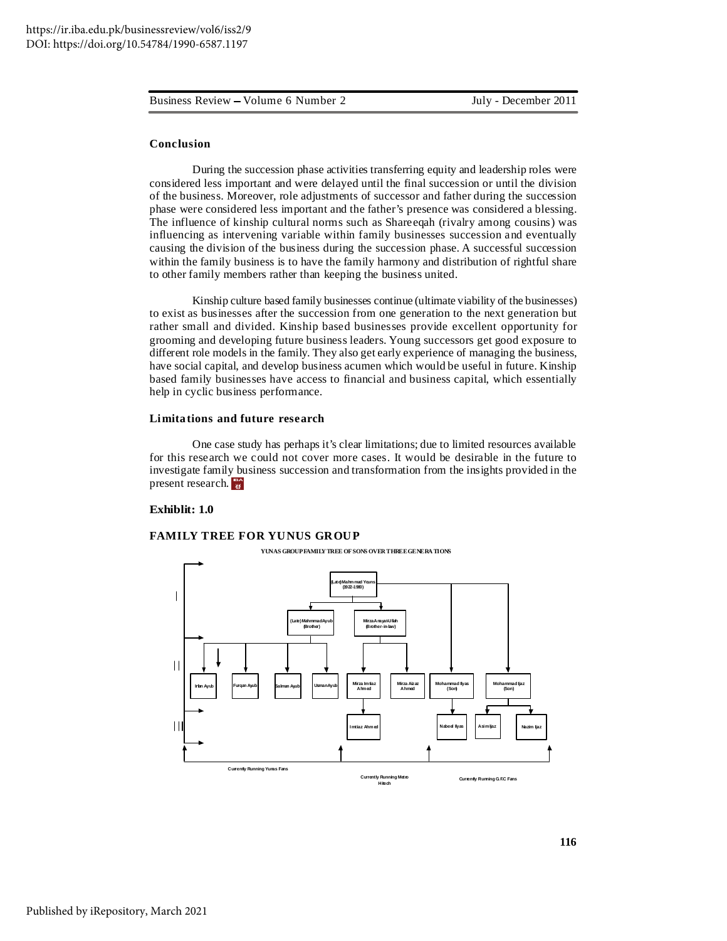#### **Conclusion**

During the succession phase activities transferring equity and leadership roles were considered less important and were delayed until the final succession or until the division of the business. Moreover, role adjustments of successor and father during the succession phase were considered less important and the father's presence was considered a blessing. The influence of kinship cultural norms such as Shareeqah (rivalry among cousins) was influencing as intervening variable within family businesses succession and eventually causing the division of the business during the succession phase. A successful succession within the family business is to have the family harmony and distribution of rightful share to other family members rather than keeping the business united.

Kinship culture based family businesses continue (ultimate viability of the businesses) to exist as businesses after the succession from one generation to the next generation but rather small and divided. Kinship based businesses provide excellent opportunity for grooming and developing future business leaders. Young successors get good exposure to different role models in the family. They also get early experience of managing the business, have social capital, and develop business acumen which would be useful in future. Kinship based family businesses have access to financial and business capital, which essentially help in cyclic business performance.

#### **Limitations and future research**

One case study has perhaps it's clear limitations; due to limited resources available for this research we could not cover more cases. It would be desirable in the future to investigate family business succession and transformation from the insights provided in the present research. **IBA**

#### **Exhiblit: 1.0**

#### **FAMILY TREE FOR YUNUS GROUP**

**YUNAS GROUPFAMILYTREE OFSONS OVERTHREEGENERATIONS**

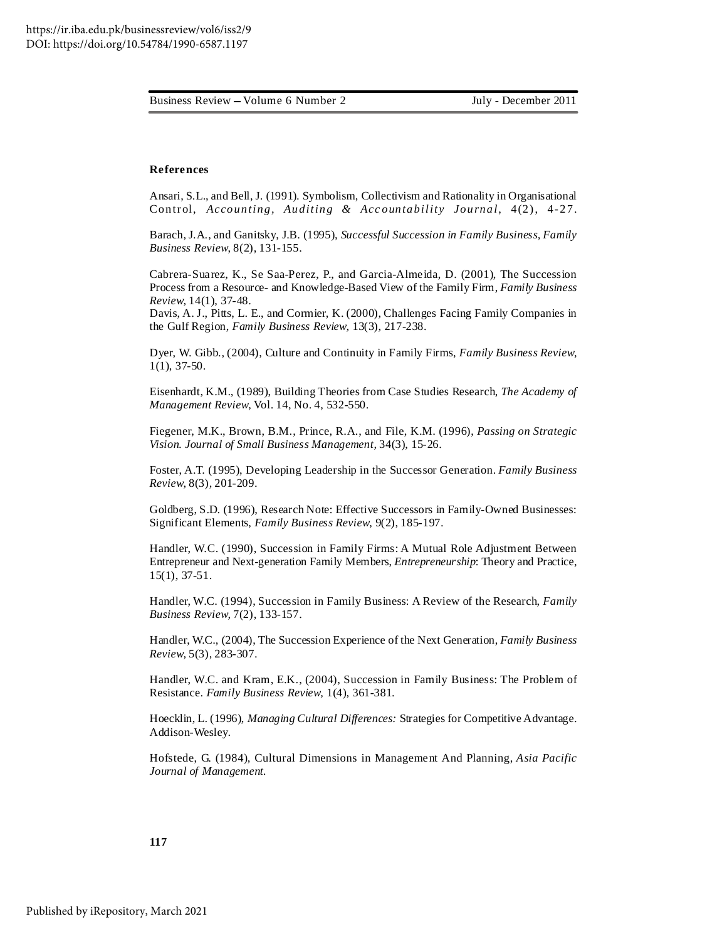#### **References**

Ansari, S.L., and Bell, J. (1991). Symbolism, Collectivism and Rationality in Organisational Contr ol, *Accounting, Auditing & Acc ountability Journal*, 4(2), 4- 27.

Barach, J.A., and Ganitsky, J.B. (1995), *Successful Succession in Family Business, Family Business Review*, 8(2), 131-155.

Cabrera-Suarez, K., Se Saa-Perez, P., and Garcia-Almeida, D. (2001), The Succession Process from a Resource- and Knowledge-Based View of the Family Firm, *Family Business Review,* 14(1), 37-48.

Davis, A. J., Pitts, L. E., and Cormier, K. (2000), Challenges Facing Family Companies in the Gulf Region, *Family Business Review,* 13(3), 217-238.

Dyer, W. Gibb., (2004), Culture and Continuity in Family Firms, *Family Business Review,* 1(1), 37-50.

Eisenhardt, K.M., (1989), Building Theories from Case Studies Research, *The Academy of Management Review*, Vol. 14, No. 4, 532-550.

Fiegener, M.K., Brown, B.M., Prince, R.A., and File, K.M. (1996), *Passing on Strategic Vision. Journal of Small Business Management,* 34(3), 15-26.

Foster, A.T. (1995), Developing Leadership in the Successor Generation. *Family Business Review*, 8(3), 201-209.

Goldberg, S.D. (1996), Research Note: Effective Successors in Family-Owned Businesses: Significant Elements, *Family Business Review*, 9(2), 185-197.

Handler, W.C. (1990), Succession in Family Firms: A Mutual Role Adjustment Between Entrepreneur and Next-generation Family Members, *Entrepreneurship*: Theory and Practice, 15(1), 37-51.

Handler, W.C. (1994), Succession in Family Business: A Review of the Research, *Family Business Review,* 7(2), 133-157.

Handler, W.C., (2004), The Succession Experience of the Next Generation, *Family Business Review,* 5(3), 283-307.

Handler, W.C. and Kram, E.K., (2004), Succession in Family Business: The Problem of Resistance. *Family Business Review,* 1(4), 361-381.

Hoecklin, L. (1996), *Managing Cultural Differences:* Strategies for Competitive Advantage. Addison-Wesley.

Hofstede, G. (1984), Cultural Dimensions in Management And Planning, *Asia Pacific Journal of Management.*